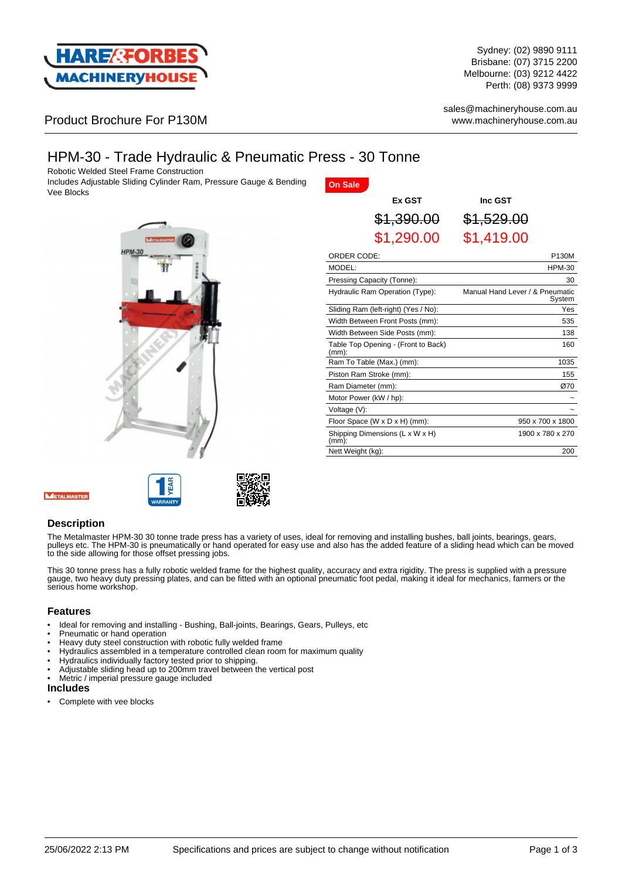

Sydney: (02) 9890 9111 Brisbane: (07) 3715 2200 Melbourne: (03) 9212 4422 Perth: (08) 9373 9999

sales@machineryhouse.com.au www.machineryhouse.com.au

## Product Brochure For P130M

# HPM-30 - Trade Hydraulic & Pneumatic Press - 30 Tonne

Robotic Welded Steel Frame Construction

Includes Adjustable Sliding Cylinder Ram, Pressure Gauge & Bending Vee Blocks



| <b>On Sale</b>                       |                                 |                                           |               |
|--------------------------------------|---------------------------------|-------------------------------------------|---------------|
|                                      | Ex GST                          | Inc GST                                   |               |
|                                      | \$1,390.00                      | \$1,529.00                                |               |
|                                      | \$1,290.00                      | \$1,419.00                                |               |
| ORDER CODE:                          |                                 |                                           | P130M         |
| MODEL:                               |                                 |                                           | <b>HPM-30</b> |
| Pressing Capacity (Tonne):           |                                 |                                           | 30            |
| Hydraulic Ram Operation (Type):      |                                 | Manual Hand Lever / & Pneumatic<br>System |               |
| Sliding Ram (left-right) (Yes / No): |                                 |                                           | Yes           |
|                                      | Width Between Front Posts (mm): |                                           | 535           |
|                                      |                                 |                                           |               |

| Sliding Ram (left-right) (Yes / No):            | Yes              |
|-------------------------------------------------|------------------|
| Width Between Front Posts (mm):                 | 535              |
| Width Between Side Posts (mm):                  | 138              |
| Table Top Opening - (Front to Back)<br>$(mm)$ : | 160              |
| Ram To Table (Max.) (mm):                       | 1035             |
| Piston Ram Stroke (mm):                         | 155              |
| Ram Diameter (mm):                              | Ø70              |
| Motor Power (kW / hp):                          |                  |
| Voltage (V):                                    |                  |
| Floor Space (W x D x H) (mm):                   | 950 x 700 x 1800 |
| Shipping Dimensions (L x W x H)<br>$(mm)$ :     | 1900 x 780 x 270 |
| Nett Weight (kg):                               | 200              |

#### **Description**

The Metalmaster HPM-30 30 tonne trade press has a variety of uses, ideal for removing and installing bushes, ball joints, bearings, gears, pulleys etc. The HPM-30 is pneumatically or hand operated for easy use and also has the added feature of a sliding head which can be moved to the side allowing for those offset pressing jobs.

This 30 tonne press has a fully robotic welded frame for the highest quality, accuracy and extra rigidity. The press is supplied with a pressure gauge, two heavy duty pressing plates, and can be fitted with an optional pneumatic foot pedal, making it ideal for mechanics, farmers or the serious home workshop.

#### **Features**

- Ideal for removing and installing Bushing, Ball-joints, Bearings, Gears, Pulleys, etc
- Pneumatic or hand operation
- Heavy duty steel construction with robotic fully welded frame
- Hydraulics assembled in a temperature controlled clean room for maximum quality
- Hydraulics individually factory tested prior to shipping.
- Adjustable sliding head up to 200mm travel between the vertical post
- Metric / imperial pressure gauge included

#### **Includes**

Complete with vee blocks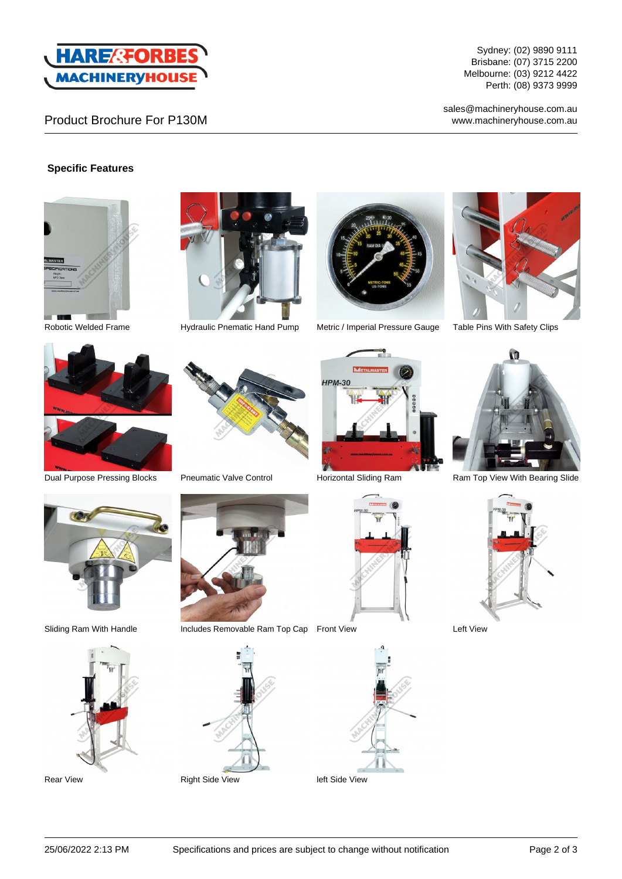

## Product Brochure For P130M

Sydney: (02) 9890 9111 Brisbane: (07) 3715 2200 Melbourne: (03) 9212 4422 Perth: (08) 9373 9999

sales@machineryhouse.com.au www.machineryhouse.com.au

### **Specific Features**







Robotic Welded Frame **Hydraulic Pnematic Hand Pump** Metric / Imperial Pressure Gauge Table Pins With Safety Clips









Dual Purpose Pressing Blocks Pneumatic Valve Control Purizontal Sliding Ram Ram Top View With Bearing Slide







Sliding Ram With Handle Includes Removable Ram Top Cap Front View Left View



Rear View **Right Side View Right Side View Right Side View** left Side View